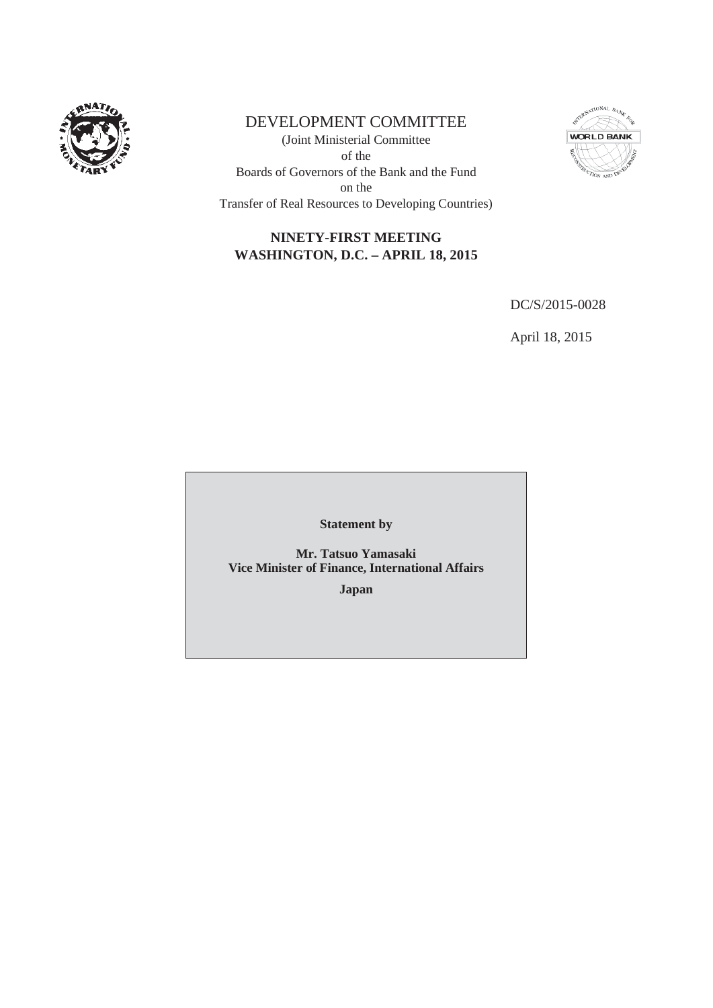

# DEVELOPMENT COMMITTEE

(Joint Ministerial Committee of the Boards of Governors of the Bank and the Fund on the Transfer of Real Resources to Developing Countries)



# **NINETY-FIRST MEETING WASHINGTON, D.C. – APRIL 18, 2015**

DC/S/2015-0028

April 18, 2015

**Statement by**

**Mr. Tatsuo Yamasaki Vice Minister of Finance, International Affairs**

**Japan**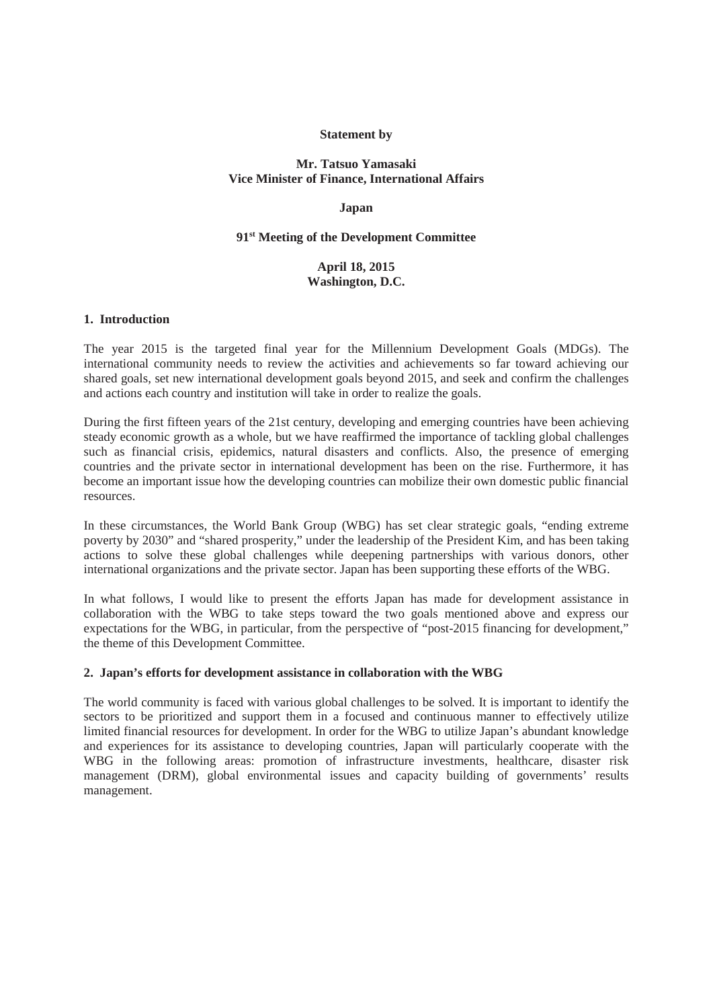## **Statement by**

## **Mr. Tatsuo Yamasaki Vice Minister of Finance, International Affairs**

### **Japan**

#### **91st Meeting of the Development Committee**

# **April 18, 2015 Washington, D.C.**

#### **1. Introduction**

The year 2015 is the targeted final year for the Millennium Development Goals (MDGs). The international community needs to review the activities and achievements so far toward achieving our shared goals, set new international development goals beyond 2015, and seek and confirm the challenges and actions each country and institution will take in order to realize the goals.

During the first fifteen years of the 21st century, developing and emerging countries have been achieving steady economic growth as a whole, but we have reaffirmed the importance of tackling global challenges such as financial crisis, epidemics, natural disasters and conflicts. Also, the presence of emerging countries and the private sector in international development has been on the rise. Furthermore, it has become an important issue how the developing countries can mobilize their own domestic public financial resources.

In these circumstances, the World Bank Group (WBG) has set clear strategic goals, "ending extreme poverty by 2030" and "shared prosperity," under the leadership of the President Kim, and has been taking actions to solve these global challenges while deepening partnerships with various donors, other international organizations and the private sector. Japan has been supporting these efforts of the WBG.

In what follows, I would like to present the efforts Japan has made for development assistance in collaboration with the WBG to take steps toward the two goals mentioned above and express our expectations for the WBG, in particular, from the perspective of "post-2015 financing for development," the theme of this Development Committee.

### **2. Japan's efforts for development assistance in collaboration with the WBG**

The world community is faced with various global challenges to be solved. It is important to identify the sectors to be prioritized and support them in a focused and continuous manner to effectively utilize limited financial resources for development. In order for the WBG to utilize Japan's abundant knowledge and experiences for its assistance to developing countries, Japan will particularly cooperate with the WBG in the following areas: promotion of infrastructure investments, healthcare, disaster risk management (DRM), global environmental issues and capacity building of governments' results management.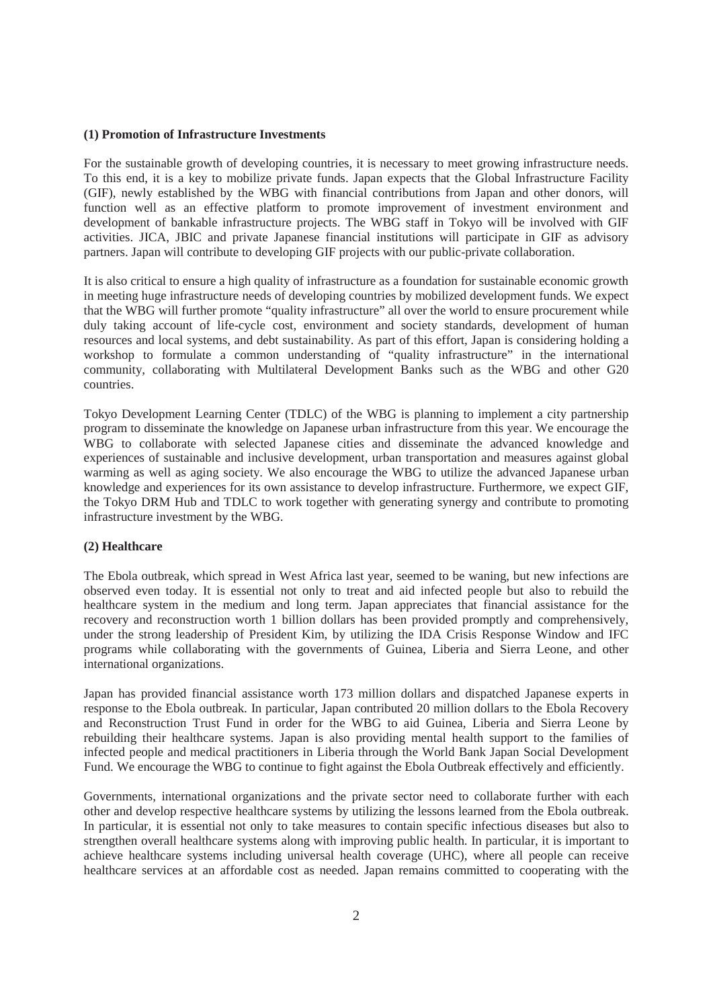#### **(1) Promotion of Infrastructure Investments**

For the sustainable growth of developing countries, it is necessary to meet growing infrastructure needs. To this end, it is a key to mobilize private funds. Japan expects that the Global Infrastructure Facility (GIF), newly established by the WBG with financial contributions from Japan and other donors, will function well as an effective platform to promote improvement of investment environment and development of bankable infrastructure projects. The WBG staff in Tokyo will be involved with GIF activities. JICA, JBIC and private Japanese financial institutions will participate in GIF as advisory partners. Japan will contribute to developing GIF projects with our public-private collaboration.

It is also critical to ensure a high quality of infrastructure as a foundation for sustainable economic growth in meeting huge infrastructure needs of developing countries by mobilized development funds. We expect that the WBG will further promote "quality infrastructure" all over the world to ensure procurement while duly taking account of life-cycle cost, environment and society standards, development of human resources and local systems, and debt sustainability. As part of this effort, Japan is considering holding a workshop to formulate a common understanding of "quality infrastructure" in the international community, collaborating with Multilateral Development Banks such as the WBG and other G20 countries.

Tokyo Development Learning Center (TDLC) of the WBG is planning to implement a city partnership program to disseminate the knowledge on Japanese urban infrastructure from this year. We encourage the WBG to collaborate with selected Japanese cities and disseminate the advanced knowledge and experiences of sustainable and inclusive development, urban transportation and measures against global warming as well as aging society. We also encourage the WBG to utilize the advanced Japanese urban knowledge and experiences for its own assistance to develop infrastructure. Furthermore, we expect GIF, the Tokyo DRM Hub and TDLC to work together with generating synergy and contribute to promoting infrastructure investment by the WBG.

### **(2) Healthcare**

The Ebola outbreak, which spread in West Africa last year, seemed to be waning, but new infections are observed even today. It is essential not only to treat and aid infected people but also to rebuild the healthcare system in the medium and long term. Japan appreciates that financial assistance for the recovery and reconstruction worth 1 billion dollars has been provided promptly and comprehensively, under the strong leadership of President Kim, by utilizing the IDA Crisis Response Window and IFC programs while collaborating with the governments of Guinea, Liberia and Sierra Leone, and other international organizations.

Japan has provided financial assistance worth 173 million dollars and dispatched Japanese experts in response to the Ebola outbreak. In particular, Japan contributed 20 million dollars to the Ebola Recovery and Reconstruction Trust Fund in order for the WBG to aid Guinea, Liberia and Sierra Leone by rebuilding their healthcare systems. Japan is also providing mental health support to the families of infected people and medical practitioners in Liberia through the World Bank Japan Social Development Fund. We encourage the WBG to continue to fight against the Ebola Outbreak effectively and efficiently.

Governments, international organizations and the private sector need to collaborate further with each other and develop respective healthcare systems by utilizing the lessons learned from the Ebola outbreak. In particular, it is essential not only to take measures to contain specific infectious diseases but also to strengthen overall healthcare systems along with improving public health. In particular, it is important to achieve healthcare systems including universal health coverage (UHC), where all people can receive healthcare services at an affordable cost as needed. Japan remains committed to cooperating with the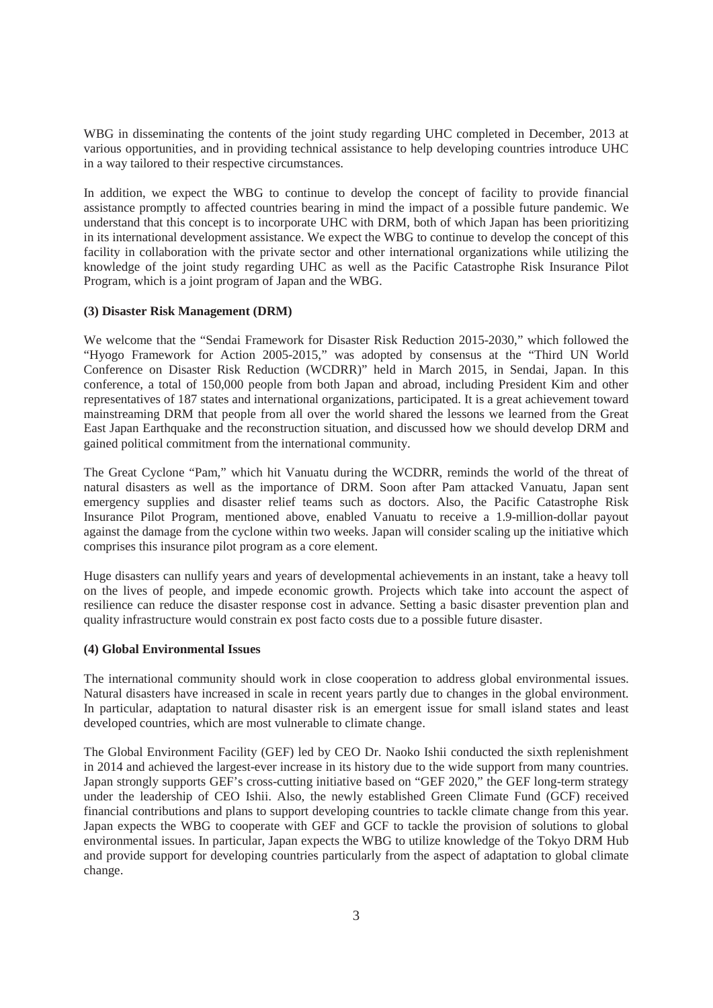WBG in disseminating the contents of the joint study regarding UHC completed in December, 2013 at various opportunities, and in providing technical assistance to help developing countries introduce UHC in a way tailored to their respective circumstances.

In addition, we expect the WBG to continue to develop the concept of facility to provide financial assistance promptly to affected countries bearing in mind the impact of a possible future pandemic. We understand that this concept is to incorporate UHC with DRM, both of which Japan has been prioritizing in its international development assistance. We expect the WBG to continue to develop the concept of this facility in collaboration with the private sector and other international organizations while utilizing the knowledge of the joint study regarding UHC as well as the Pacific Catastrophe Risk Insurance Pilot Program, which is a joint program of Japan and the WBG.

## **(3) Disaster Risk Management (DRM)**

We welcome that the "Sendai Framework for Disaster Risk Reduction 2015-2030," which followed the "Hyogo Framework for Action 2005-2015," was adopted by consensus at the "Third UN World Conference on Disaster Risk Reduction (WCDRR)" held in March 2015, in Sendai, Japan. In this conference, a total of 150,000 people from both Japan and abroad, including President Kim and other representatives of 187 states and international organizations, participated. It is a great achievement toward mainstreaming DRM that people from all over the world shared the lessons we learned from the Great East Japan Earthquake and the reconstruction situation, and discussed how we should develop DRM and gained political commitment from the international community.

The Great Cyclone "Pam," which hit Vanuatu during the WCDRR, reminds the world of the threat of natural disasters as well as the importance of DRM. Soon after Pam attacked Vanuatu, Japan sent emergency supplies and disaster relief teams such as doctors. Also, the Pacific Catastrophe Risk Insurance Pilot Program, mentioned above, enabled Vanuatu to receive a 1.9-million-dollar payout against the damage from the cyclone within two weeks. Japan will consider scaling up the initiative which comprises this insurance pilot program as a core element.

Huge disasters can nullify years and years of developmental achievements in an instant, take a heavy toll on the lives of people, and impede economic growth. Projects which take into account the aspect of resilience can reduce the disaster response cost in advance. Setting a basic disaster prevention plan and quality infrastructure would constrain ex post facto costs due to a possible future disaster.

## **(4) Global Environmental Issues**

The international community should work in close cooperation to address global environmental issues. Natural disasters have increased in scale in recent years partly due to changes in the global environment. In particular, adaptation to natural disaster risk is an emergent issue for small island states and least developed countries, which are most vulnerable to climate change.

The Global Environment Facility (GEF) led by CEO Dr. Naoko Ishii conducted the sixth replenishment in 2014 and achieved the largest-ever increase in its history due to the wide support from many countries. Japan strongly supports GEF's cross-cutting initiative based on "GEF 2020," the GEF long-term strategy under the leadership of CEO Ishii. Also, the newly established Green Climate Fund (GCF) received financial contributions and plans to support developing countries to tackle climate change from this year. Japan expects the WBG to cooperate with GEF and GCF to tackle the provision of solutions to global environmental issues. In particular, Japan expects the WBG to utilize knowledge of the Tokyo DRM Hub and provide support for developing countries particularly from the aspect of adaptation to global climate change.